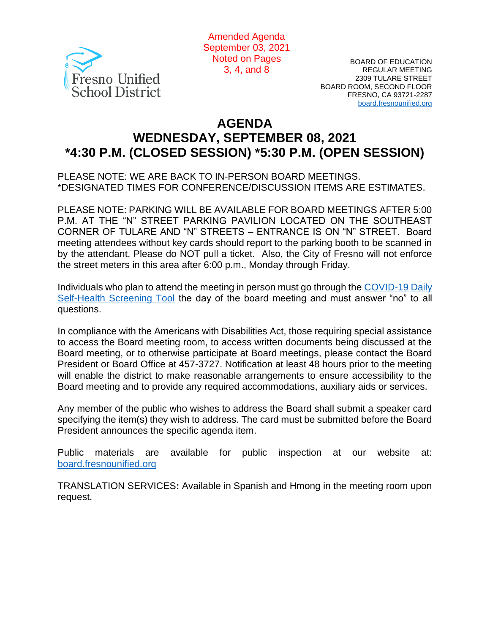

Amended Agenda September 03, 2021 Noted on Pages 3, 4, and 8

BOARD OF EDUCATION REGULAR MEETING 2309 TULARE STREET BOARD ROOM, SECOND FLOOR FRESNO, CA 93721-2287 [board.fresnounified.org](https://board.fresnounified.org/)

# **AGENDA WEDNESDAY, SEPTEMBER 08, 2021 \*4:30 P.M. (CLOSED SESSION) \*5:30 P.M. (OPEN SESSION)**

PLEASE NOTE: WE ARE BACK TO IN-PERSON BOARD MEETINGS. \*DESIGNATED TIMES FOR CONFERENCE/DISCUSSION ITEMS ARE ESTIMATES.

PLEASE NOTE: PARKING WILL BE AVAILABLE FOR BOARD MEETINGS AFTER 5:00 P.M. AT THE "N" STREET PARKING PAVILION LOCATED ON THE SOUTHEAST CORNER OF TULARE AND "N" STREETS – ENTRANCE IS ON "N" STREET. Board meeting attendees without key cards should report to the parking booth to be scanned in by the attendant. Please do NOT pull a ticket. Also, the City of Fresno will not enforce the street meters in this area after 6:00 p.m., Monday through Friday.

Individuals who plan to attend the meeting in person must go through the [COVID-19 Daily](https://health.fresnounified.org/wp-content/uploads/FUSD-Self-Health-Screening-Tool.pdf)  [Self-Health Screening Tool](https://health.fresnounified.org/wp-content/uploads/FUSD-Self-Health-Screening-Tool.pdf) the day of the board meeting and must answer "no" to all questions.

In compliance with the Americans with Disabilities Act, those requiring special assistance to access the Board meeting room, to access written documents being discussed at the Board meeting, or to otherwise participate at Board meetings, please contact the Board President or Board Office at 457-3727. Notification at least 48 hours prior to the meeting will enable the district to make reasonable arrangements to ensure accessibility to the Board meeting and to provide any required accommodations, auxiliary aids or services.

Any member of the public who wishes to address the Board shall submit a speaker card specifying the item(s) they wish to address. The card must be submitted before the Board President announces the specific agenda item.

Public materials are available for public inspection at our website at: [board.fresnounified.org](https://board.fresnounified.org/)

TRANSLATION SERVICES**:** Available in Spanish and Hmong in the meeting room upon request.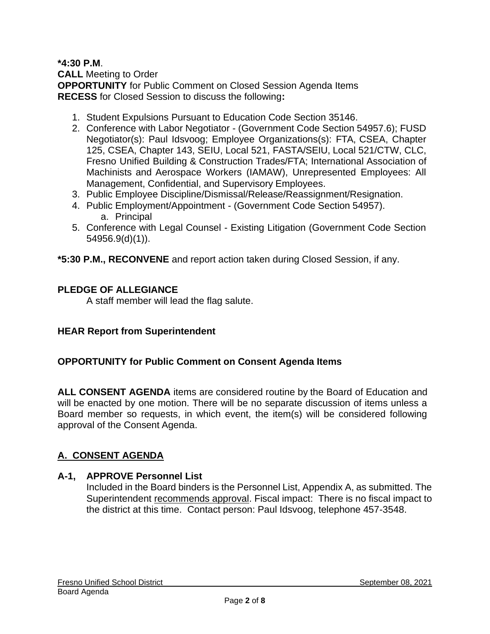#### **\*4:30 P.M**. **CALL** Meeting to Order **OPPORTUNITY** for Public Comment on Closed Session Agenda Items **RECESS** for Closed Session to discuss the following**:**

- 1. Student Expulsions Pursuant to Education Code Section 35146.
- 2. Conference with Labor Negotiator (Government Code Section 54957.6); FUSD Negotiator(s): Paul Idsvoog; Employee Organizations(s): FTA, CSEA, Chapter 125, CSEA, Chapter 143, SEIU, Local 521, FASTA/SEIU, Local 521/CTW, CLC, Fresno Unified Building & Construction Trades/FTA; International Association of Machinists and Aerospace Workers (IAMAW), Unrepresented Employees: All Management, Confidential, and Supervisory Employees.
- 3. Public Employee Discipline/Dismissal/Release/Reassignment/Resignation.
- 4. Public Employment/Appointment (Government Code Section 54957). a. Principal
- 5. Conference with Legal Counsel Existing Litigation (Government Code Section 54956.9(d)(1)).

**\*5:30 P.M., RECONVENE** and report action taken during Closed Session, if any.

### **PLEDGE OF ALLEGIANCE**

A staff member will lead the flag salute.

#### **HEAR Report from Superintendent**

#### **OPPORTUNITY for Public Comment on Consent Agenda Items**

**ALL CONSENT AGENDA** items are considered routine by the Board of Education and will be enacted by one motion. There will be no separate discussion of items unless a Board member so requests, in which event, the item(s) will be considered following approval of the Consent Agenda.

### **A. CONSENT AGENDA**

#### **A-1, APPROVE Personnel List**

Included in the Board binders is the Personnel List, Appendix A, as submitted. The Superintendent recommends approval. Fiscal impact: There is no fiscal impact to the district at this time. Contact person: Paul Idsvoog, telephone 457-3548.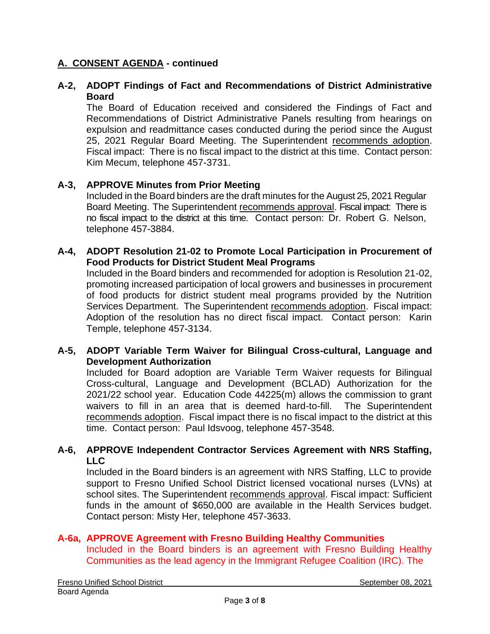### **A. CONSENT AGENDA - continued**

### **A-2, ADOPT Findings of Fact and Recommendations of District Administrative Board**

The Board of Education received and considered the Findings of Fact and Recommendations of District Administrative Panels resulting from hearings on expulsion and readmittance cases conducted during the period since the August 25, 2021 Regular Board Meeting. The Superintendent recommends adoption. Fiscal impact: There is no fiscal impact to the district at this time. Contact person: Kim Mecum, telephone 457-3731.

### **A-3, APPROVE Minutes from Prior Meeting**

Included in the Board binders are the draft minutes for the August 25, 2021 Regular Board Meeting. The Superintendent recommends approval. Fiscal impact: There is no fiscal impact to the district at this time. Contact person: Dr. Robert G. Nelson, telephone 457-3884.

#### **A-4, ADOPT Resolution 21-02 to Promote Local Participation in Procurement of Food Products for District Student Meal Programs**

Included in the Board binders and recommended for adoption is Resolution 21-02, promoting increased participation of local growers and businesses in procurement of food products for district student meal programs provided by the Nutrition Services Department. The Superintendent recommends adoption. Fiscal impact: Adoption of the resolution has no direct fiscal impact. Contact person: Karin Temple, telephone 457-3134.

### **A-5, ADOPT Variable Term Waiver for Bilingual Cross-cultural, Language and Development Authorization**

Included for Board adoption are Variable Term Waiver requests for Bilingual Cross-cultural, Language and Development (BCLAD) Authorization for the 2021/22 school year. Education Code 44225(m) allows the commission to grant waivers to fill in an area that is deemed hard-to-fill. The Superintendent recommends adoption. Fiscal impact there is no fiscal impact to the district at this time. Contact person: Paul Idsvoog, telephone 457-3548.

### **A-6, APPROVE Independent Contractor Services Agreement with NRS Staffing, LLC**

Included in the Board binders is an agreement with NRS Staffing, LLC to provide support to Fresno Unified School District licensed vocational nurses (LVNs) at school sites. The Superintendent recommends approval. Fiscal impact: Sufficient funds in the amount of \$650,000 are available in the Health Services budget. Contact person: Misty Her, telephone 457-3633.

### **A-6a, APPROVE Agreement with Fresno Building Healthy Communities**

Included in the Board binders is an agreement with Fresno Building Healthy Communities as the lead agency in the Immigrant Refugee Coalition (IRC). The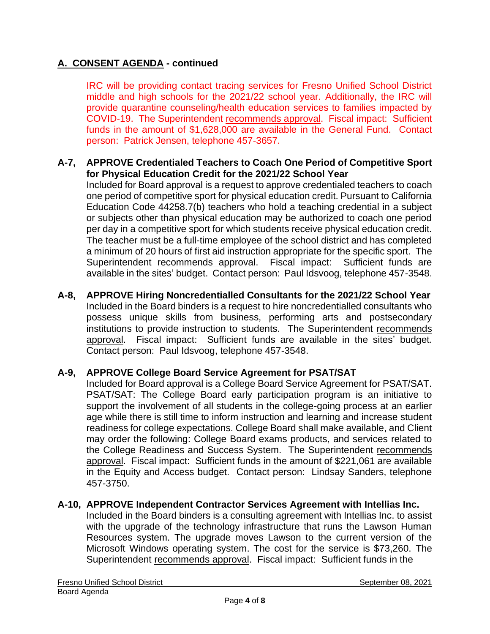# **A. CONSENT AGENDA - continued**

IRC will be providing contact tracing services for Fresno Unified School District middle and high schools for the 2021/22 school year. Additionally, the IRC will provide quarantine counseling/health education services to families impacted by COVID-19. The Superintendent recommends approval. Fiscal impact: Sufficient funds in the amount of \$1,628,000 are available in the General Fund. Contact person: Patrick Jensen, telephone 457-3657.

#### **A-7, APPROVE Credentialed Teachers to Coach One Period of Competitive Sport for Physical Education Credit for the 2021/22 School Year**

Included for Board approval is a request to approve credentialed teachers to coach one period of competitive sport for physical education credit. Pursuant to California Education Code 44258.7(b) teachers who hold a teaching credential in a subject or subjects other than physical education may be authorized to coach one period per day in a competitive sport for which students receive physical education credit. The teacher must be a full-time employee of the school district and has completed a minimum of 20 hours of first aid instruction appropriate for the specific sport. The Superintendent recommends approval. Fiscal impact: Sufficient funds are available in the sites' budget. Contact person: Paul Idsvoog, telephone 457-3548.

**A-8, APPROVE Hiring Noncredentialled Consultants for the 2021/22 School Year** Included in the Board binders is a request to hire noncredentialled consultants who possess unique skills from business, performing arts and postsecondary institutions to provide instruction to students. The Superintendent recommends approval. Fiscal impact: Sufficient funds are available in the sites' budget. Contact person: Paul Idsvoog, telephone 457-3548.

### **A-9, APPROVE College Board Service Agreement for PSAT/SAT**

Included for Board approval is a College Board Service Agreement for PSAT/SAT. PSAT/SAT: The College Board early participation program is an initiative to support the involvement of all students in the college-going process at an earlier age while there is still time to inform instruction and learning and increase student readiness for college expectations. College Board shall make available, and Client may order the following: College Board exams products, and services related to the College Readiness and Success System. The Superintendent recommends approval. Fiscal impact: Sufficient funds in the amount of \$221,061 are available in the Equity and Access budget. Contact person: Lindsay Sanders, telephone 457-3750.

#### **A-10, APPROVE Independent Contractor Services Agreement with Intellias Inc.**

Included in the Board binders is a consulting agreement with Intellias Inc. to assist with the upgrade of the technology infrastructure that runs the Lawson Human Resources system. The upgrade moves Lawson to the current version of the Microsoft Windows operating system. The cost for the service is \$73,260. The Superintendent recommends approval. Fiscal impact: Sufficient funds in the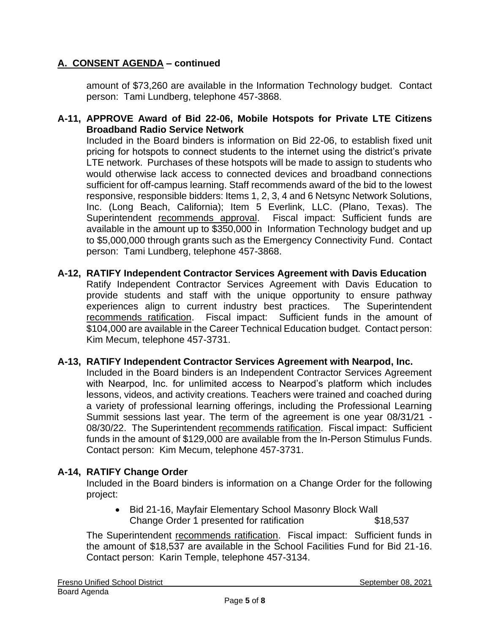# **A. CONSENT AGENDA – continued**

amount of \$73,260 are available in the Information Technology budget. Contact person: Tami Lundberg, telephone 457-3868.

### **A-11, APPROVE Award of Bid 22-06, Mobile Hotspots for Private LTE Citizens Broadband Radio Service Network**

Included in the Board binders is information on Bid 22-06, to establish fixed unit pricing for hotspots to connect students to the internet using the district's private LTE network. Purchases of these hotspots will be made to assign to students who would otherwise lack access to connected devices and broadband connections sufficient for off-campus learning. Staff recommends award of the bid to the lowest responsive, responsible bidders: Items 1, 2, 3, 4 and 6 Netsync Network Solutions, Inc. (Long Beach, California); Item 5 Everlink, LLC. (Plano, Texas). The Superintendent recommends approval. Fiscal impact: Sufficient funds are available in the amount up to \$350,000 in Information Technology budget and up to \$5,000,000 through grants such as the Emergency Connectivity Fund. Contact person: Tami Lundberg, telephone 457-3868.

#### **A-12, RATIFY Independent Contractor Services Agreement with Davis Education** Ratify Independent Contractor Services Agreement with Davis Education to provide students and staff with the unique opportunity to ensure pathway experiences align to current industry best practices. The Superintendent recommends ratification. Fiscal impact: Sufficient funds in the amount of \$104,000 are available in the Career Technical Education budget. Contact person: Kim Mecum, telephone 457-3731.

#### **A-13, RATIFY Independent Contractor Services Agreement with Nearpod, Inc.**

Included in the Board binders is an Independent Contractor Services Agreement with Nearpod, Inc. for unlimited access to Nearpod's platform which includes lessons, videos, and activity creations. Teachers were trained and coached during a variety of professional learning offerings, including the Professional Learning Summit sessions last year. The term of the agreement is one year 08/31/21 - 08/30/22. The Superintendent recommends ratification. Fiscal impact: Sufficient funds in the amount of \$129,000 are available from the In-Person Stimulus Funds. Contact person: Kim Mecum, telephone 457-3731.

### **A-14, RATIFY Change Order**

Included in the Board binders is information on a Change Order for the following project:

• Bid 21-16, Mayfair Elementary School Masonry Block Wall Change Order 1 presented for ratification \$18,537

The Superintendent recommends ratification. Fiscal impact: Sufficient funds in the amount of \$18,537 are available in the School Facilities Fund for Bid 21-16. Contact person: Karin Temple, telephone 457-3134.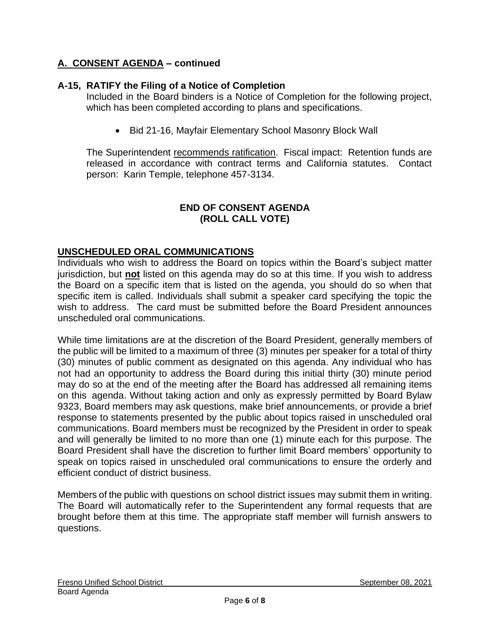# **A. CONSENT AGENDA – continued**

# **A-15, RATIFY the Filing of a Notice of Completion**

Included in the Board binders is a Notice of Completion for the following project, which has been completed according to plans and specifications.

• Bid 21-16, Mayfair Elementary School Masonry Block Wall

The Superintendent recommends ratification. Fiscal impact: Retention funds are released in accordance with contract terms and California statutes. Contact person: Karin Temple, telephone 457-3134.

### **END OF CONSENT AGENDA (ROLL CALL VOTE)**

### **UNSCHEDULED ORAL COMMUNICATIONS**

Individuals who wish to address the Board on topics within the Board's subject matter jurisdiction, but **not** listed on this agenda may do so at this time. If you wish to address the Board on a specific item that is listed on the agenda, you should do so when that specific item is called. Individuals shall submit a speaker card specifying the topic the wish to address. The card must be submitted before the Board President announces unscheduled oral communications.

While time limitations are at the discretion of the Board President, generally members of the public will be limited to a maximum of three (3) minutes per speaker for a total of thirty (30) minutes of public comment as designated on this agenda. Any individual who has not had an opportunity to address the Board during this initial thirty (30) minute period may do so at the end of the meeting after the Board has addressed all remaining items on this agenda. Without taking action and only as expressly permitted by Board Bylaw 9323, Board members may ask questions, make brief announcements, or provide a brief response to statements presented by the public about topics raised in unscheduled oral communications. Board members must be recognized by the President in order to speak and will generally be limited to no more than one (1) minute each for this purpose. The Board President shall have the discretion to further limit Board members' opportunity to speak on topics raised in unscheduled oral communications to ensure the orderly and efficient conduct of district business.

Members of the public with questions on school district issues may submit them in writing. The Board will automatically refer to the Superintendent any formal requests that are brought before them at this time. The appropriate staff member will furnish answers to questions.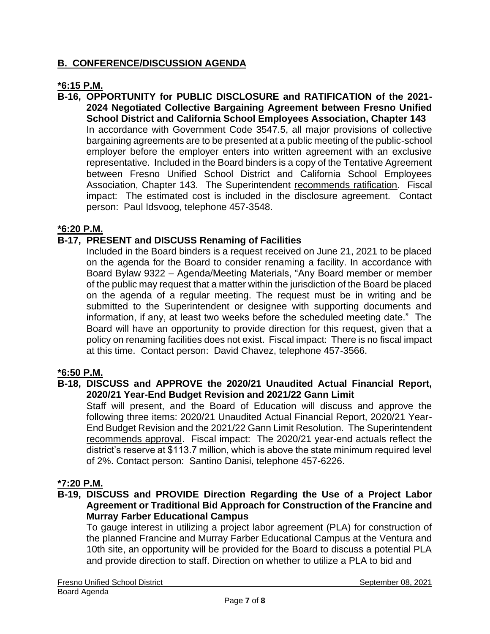# **B. CONFERENCE/DISCUSSION AGENDA**

### **\*6:15 P.M.**

**B-16, OPPORTUNITY for PUBLIC DISCLOSURE and RATIFICATION of the 2021- 2024 Negotiated Collective Bargaining Agreement between Fresno Unified School District and California School Employees Association, Chapter 143** In accordance with Government Code 3547.5, all major provisions of collective bargaining agreements are to be presented at a public meeting of the public-school employer before the employer enters into written agreement with an exclusive representative. Included in the Board binders is a copy of the Tentative Agreement between Fresno Unified School District and California School Employees Association, Chapter 143. The Superintendent recommends ratification. Fiscal impact: The estimated cost is included in the disclosure agreement. Contact person: Paul Idsvoog, telephone 457-3548.

### **\*6:20 P.M.**

### **B-17, PRESENT and DISCUSS Renaming of Facilities**

Included in the Board binders is a request received on June 21, 2021 to be placed on the agenda for the Board to consider renaming a facility. In accordance with Board Bylaw 9322 – Agenda/Meeting Materials, "Any Board member or member of the public may request that a matter within the jurisdiction of the Board be placed on the agenda of a regular meeting. The request must be in writing and be submitted to the Superintendent or designee with supporting documents and information, if any, at least two weeks before the scheduled meeting date." The Board will have an opportunity to provide direction for this request, given that a policy on renaming facilities does not exist. Fiscal impact: There is no fiscal impact at this time. Contact person: David Chavez, telephone 457-3566.

#### **\*6:50 P.M.**

**B-18, DISCUSS and APPROVE the 2020/21 Unaudited Actual Financial Report, 2020/21 Year-End Budget Revision and 2021/22 Gann Limit**

Staff will present, and the Board of Education will discuss and approve the following three items: 2020/21 Unaudited Actual Financial Report, 2020/21 Year-End Budget Revision and the 2021/22 Gann Limit Resolution. The Superintendent recommends approval. Fiscal impact: The 2020/21 year-end actuals reflect the district's reserve at \$113.7 million, which is above the state minimum required level of 2%. Contact person: Santino Danisi, telephone 457-6226.

#### **\*7:20 P.M.**

**B-19, DISCUSS and PROVIDE Direction Regarding the Use of a Project Labor Agreement or Traditional Bid Approach for Construction of the Francine and Murray Farber Educational Campus**

To gauge interest in utilizing a project labor agreement (PLA) for construction of the planned Francine and Murray Farber Educational Campus at the Ventura and 10th site, an opportunity will be provided for the Board to discuss a potential PLA and provide direction to staff. Direction on whether to utilize a PLA to bid and